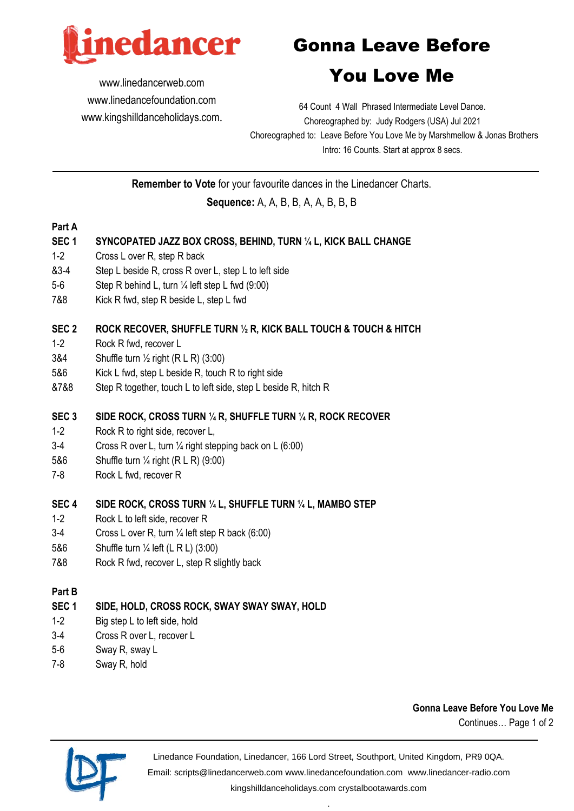

www.linedancerweb.com www.linedancefoundation.com www.kingshilldanceholidays.com.

# Gonna Leave Before

# You Love Me

64 Count 4 Wall Phrased Intermediate Level Dance. Choreographed by: Judy Rodgers (USA) Jul 2021 Choreographed to: Leave Before You Love Me by Marshmellow & Jonas Brothers Intro: 16 Counts. Start at approx 8 secs.

**Remember to Vote** for your favourite dances in the Linedancer Charts.

# **Sequence:** A, A, B, B, A, A, B, B, B

#### **Part A**

#### **SEC 1 SYNCOPATED JAZZ BOX CROSS, BEHIND, TURN ¼ L, KICK BALL CHANGE**

- 1-2 Cross L over R, step R back
- &3-4 Step L beside R, cross R over L, step L to left side
- 5-6 Step R behind L, turn ¼ left step L fwd (9:00)
- 7&8 Kick R fwd, step R beside L, step L fwd

#### **SEC 2 ROCK RECOVER, SHUFFLE TURN ½ R, KICK BALL TOUCH & TOUCH & HITCH**

- 1-2 Rock R fwd, recover L
- 3&4 Shuffle turn ½ right (R L R) (3:00)
- 5&6 Kick L fwd, step L beside R, touch R to right side
- &7&8 Step R together, touch L to left side, step L beside R, hitch R

#### **SEC 3 SIDE ROCK, CROSS TURN ¼ R, SHUFFLE TURN ¼ R, ROCK RECOVER**

- 1-2 Rock R to right side, recover L,
- 3-4 Cross R over L, turn ¼ right stepping back on L (6:00)
- 5&6 Shuffle turn ¼ right (R L R) (9:00)
- 7-8 Rock L fwd, recover R

#### **SEC 4 SIDE ROCK, CROSS TURN ¼ L, SHUFFLE TURN ¼ L, MAMBO STEP**

- 1-2 Rock L to left side, recover R
- 3-4 Cross L over R, turn ¼ left step R back (6:00)
- 5&6 Shuffle turn ¼ left (L R L) (3:00)
- 7&8 Rock R fwd, recover L, step R slightly back

#### **Part B**

## **SEC 1 SIDE, HOLD, CROSS ROCK, SWAY SWAY SWAY, HOLD**

- 1-2 Big step L to left side, hold
- 3-4 Cross R over L, recover L
- 5-6 Sway R, sway L
- 7-8 Sway R, hold

## **Gonna Leave Before You Love Me**

Continues… Page 1 of 2



Linedance Foundation, Linedancer, 166 Lord Street, Southport, United Kingdom, PR9 0QA. Email: scripts@linedancerweb.com www.linedancefoundation.com www.linedancer-radio.com

kingshilldanceholidays.com crystalbootawards.com .